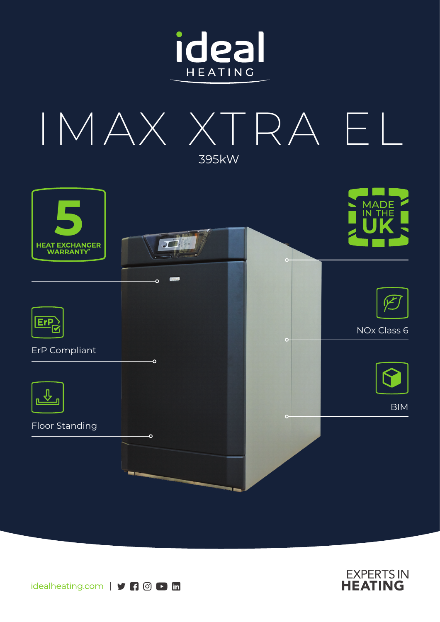







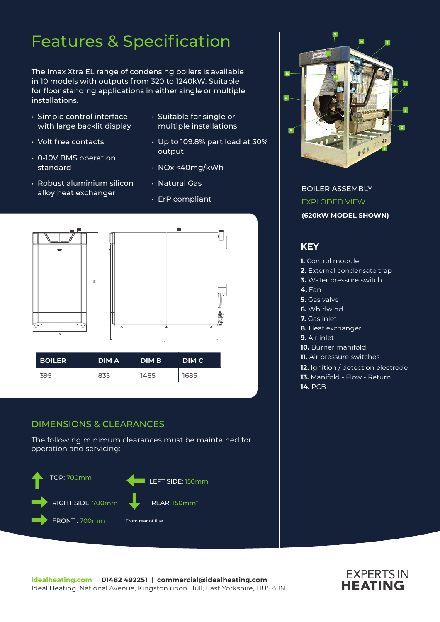# Features & Specification

The Imax Xtra EL range of condensing boilers is available in 10 models with outputs from 320 to 1240kW. Suitable for floor standing applications in either single or multiple installations.

- Simple control interface with large backlit display
- Volt free contacts
- 0-10V BMS operation standard
- Robust aluminium silicon alloy heat exchanger
- Suitable for single or multiple installations
- Up to 109.8% part load at 30% output
- NOx <40mg/kWh
- Natural Gas
- ErP compliant



### DIMENSIONS & CLEARANCES

The following minimum clearances must be maintained for operation and servicing:





BOILER ASSEMBLY EXPLODED VIEW **(620kW MODEL SHOWN)**

### **KEY**

- **1.** Control module
- **2.** External condensate trap
- **3.** Water pressure switch
- **4.** Fan
- **5.** Gas valve
- **6.** Whirlwind
- **7.** Gas inlet
- **8.** Heat exchanger
- **9.** Air inlet
- **10.** Burner manifold
- **11.** Air pressure switches
- **12.** Ignition / detection electrode
- **13.** Manifold Flow Return
- **14.** PCB

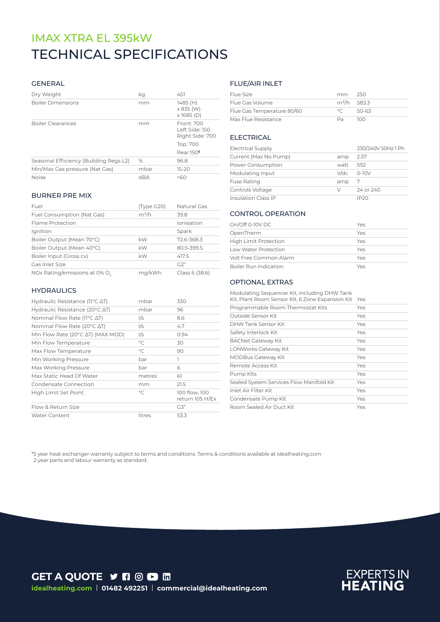# TECHNICAL SPECIFICATIONS IMAX XTRA EL 395kW

#### GENERAL

| Dry Weight                             | ka   | 451                                             |
|----------------------------------------|------|-------------------------------------------------|
| <b>Boiler Dimensions</b>               | mm   | 1485 (H)<br>$\times$ 835 (W)<br>$x$ 1685 (D)    |
| <b>Boiler Clearances</b>               | mm   | Front: 700<br>Left Side: 150<br>Right Side: 700 |
|                                        |      | Top: 700                                        |
|                                        |      | Rear:150 <sup>t</sup>                           |
| Seasonal Efficiency (Building Regs L2) | $\%$ | 96.8                                            |
| Min/Max Gas pressure (Nat Gas)         | mbar | $15-20$                                         |
| <b>Noise</b>                           | dBA  | 560                                             |

#### BURNER PRE MIX

| Fuel                                      | (Type G20) | Natural Gas    |
|-------------------------------------------|------------|----------------|
| Fuel Consumption (Nat Gas)                | $m^3/h$    | 39.8           |
| Flame Protection                          |            | Ionisation     |
| Ignition                                  |            | Spark          |
| Boiler Output (Mean 70°C)                 | kW         | 72.6-368.3     |
| Boiler Output (Mean 40°C)                 | kW         | 80.5-399.5     |
| Boiler Input (Gross cv)                   | kW         | 417.5          |
| Gas Inlet Size                            |            | G2"            |
| NOx Rating/emissions at 0% O <sub>2</sub> | mg/kWh     | Class 6 (38.6) |

#### **HYDRAULICS**

| Hydraulic Resistance ( $11^{\circ}$ C $\Delta$ T)   | mbar         | 330                              |
|-----------------------------------------------------|--------------|----------------------------------|
| Hydraulic Resistance (20 $\degree$ C $\triangle$ T) | mbar         | 96                               |
| Nominal Flow Rate ( $11^{\circ}$ C $\Delta$ T)      | I/s          | 8.6                              |
| Nominal Flow Rate (20 $\degree$ C $\triangle$ T)    | I/s          | 4.7                              |
| Min Flow Rate (20°C AT) (MAX MOD)                   | 1/s          | 0.94                             |
| Min Flow Temperature                                | $^{\circ}$ C | 30                               |
| Max Flow Temperature                                | $\circ$ C    | 90                               |
| Min Working Pressure                                | bar          | 1                                |
| Max Working Pressure                                | bar          | 6                                |
| Max Static Head Of Water                            | metres       | 61                               |
| Condensate Connection                               | mm           | 21.5                             |
| High Limit Set Point                                | $\circ$ C    | 100 flow, 100<br>return 105 H/Ex |
| Flow & Return Size                                  |              | G3"                              |
| <b>Water Content</b>                                | litres       | 53.3                             |

#### FLUE/AIR INLET

| Flue Size                  | mm 250         |       |
|----------------------------|----------------|-------|
| Flue Gas Volume            | $m^3/h$ 583.3  |       |
| Flue Gas Temperature 80/60 | $\circ$ $\cap$ | 50-63 |
| Max Flue Resistance        | Da.            | חרו   |

#### ELECTRICAL

| <b>Electrical Supply</b>   |      | 230/240V 50Hz 1 Ph |
|----------------------------|------|--------------------|
| Current (Max No Pump)      | amp  | 2.57               |
| Power Consumption          | watt | 592                |
| Modulating Input           | V/dc | $O-1OV$            |
| <b>Fuse Rating</b>         | amp  | 7                  |
| Controls Voltage           | V    | 24 or 240          |
| <b>Insulation Class IP</b> |      | IP20               |

#### CONTROL OPERATION

| On/Off 0-10V DC              | Yes |
|------------------------------|-----|
| OpenTherm                    | Yes |
| <b>High Limit Protection</b> | Yes |
| Low Water Protection         | Yes |
| Volt Free Common Alarm       | Yes |
| <b>Boiler Run Indication</b> | Yes |

#### OPTIONAL EXTRAS

| Modulating Sequencer Kit, including DHW Tank<br>Kit, Plant Room Sensor Kit, 6 Zone Expansion Kit | Yes |
|--------------------------------------------------------------------------------------------------|-----|
| Programmable Room Thermostat Kits                                                                | Yes |
| Outside Sensor Kit                                                                               | Yes |
| DHW Tank Sensor Kit                                                                              | Yes |
| Safety Interlock Kit                                                                             | Yes |
| <b>BACNet Gateway Kit</b>                                                                        | Yes |
| LONWorks Gateway Kit                                                                             | Yes |
| <b>MODBus Gateway Kit</b>                                                                        | Yes |
| Remote Access Kit                                                                                | Yes |
| Pump Kits                                                                                        | Yes |
| Sealed System Services Flow Manifold Kit                                                         | Yes |
| Inlet Air Filter Kit                                                                             | Yes |
| Condensate Pump Kit                                                                              | Yes |
| Room Sealed Air Duct Kit                                                                         | Yes |

\*5 year heat exchanger warranty subject to terms and conditions. Terms & conditions available at idealheating.com 2 year parts and labour warranty as standard.

**GET A QUOTE Y FI © D in idealheating.com** | **01482 492251** | **commercial@idealheating.com**